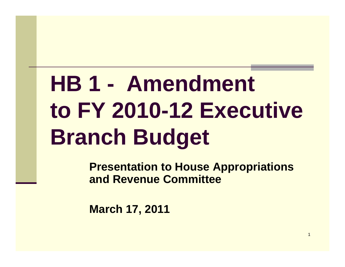# **HB 1 - Amendment to FY 2010 2010-12 Executive 12 Branch Budget**

**Presentation to House Appropriations and Revenue Committee**

1

**March 17, 2011**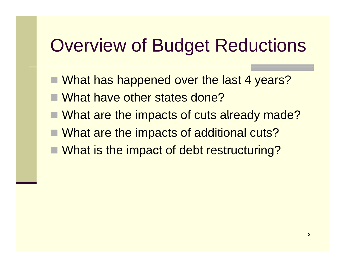### Overview of Budget Reductions

- What has happened over the last 4 years?
- What have other states done?
- $\blacksquare$  What are the impacts of cuts already made?
- What are the impacts of additional cuts?
- What is the impact of debt restructuring?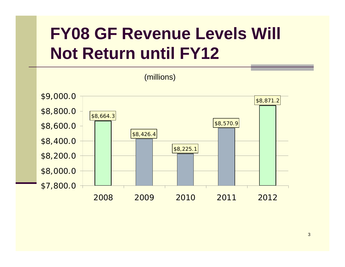## **FY08 GF Revenue Levels Will Not Return until FY12**



3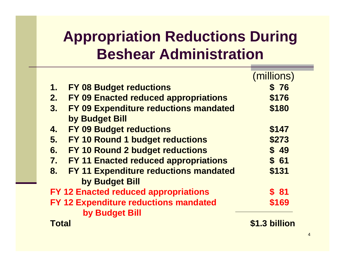### **Appropriation Reductions During Beshear Administration**

|                                       |                                              | (millions)    |
|---------------------------------------|----------------------------------------------|---------------|
| 1.                                    | <b>FY 08 Budget reductions</b>               | \$76          |
| 2.                                    | FY 09 Enacted reduced appropriations         | \$176         |
| 3.                                    | <b>FY 09 Expenditure reductions mandated</b> | \$180         |
|                                       | by Budget Bill                               |               |
| 4.                                    | <b>FY 09 Budget reductions</b>               | \$147         |
| 5.                                    | FY 10 Round 1 budget reductions              | \$273         |
| 6.                                    | <b>FY 10 Round 2 budget reductions</b>       | \$49          |
| 7.                                    | FY 11 Enacted reduced appropriations         | \$61          |
| 8.                                    | <b>FY 11 Expenditure reductions mandated</b> | \$131         |
|                                       | by Budget Bill                               |               |
|                                       | <b>FY 12 Enacted reduced appropriations</b>  | \$81          |
| FY 12 Expenditure reductions mandated |                                              | \$169         |
|                                       | by Budget Bill                               |               |
| Total                                 |                                              | \$1.3 billion |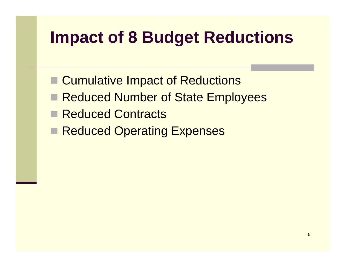### **Impact of 8 Budget Reductions**

- Cumulative Impact of Reductions
- **Reduced Number of State Employees**
- Reduced Contracts
- Reduced Operating Expenses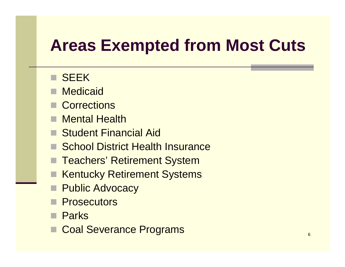### **Areas Exempted from Most Cuts**

#### **B** SEEK

- Medicaid
- **E** Corrections
- Mental Health
- Student Financial Aid
- School District Health Insurance
- Teachers' Retirement System
- Kentucky Retirement Systems
- П Public Advocacy
- **Prosecutors**
- **Parks**
- Coal Severance Programs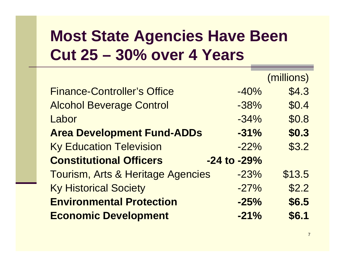#### **Most State Agencies Have Been C t 25 u 30% 4 Y 30% over Years**

|                                    |                 | (millions) |
|------------------------------------|-----------------|------------|
| <b>Finance-Controller's Office</b> | $-40%$          | \$4.3      |
| <b>Alcohol Beverage Control</b>    | $-38%$          | \$0.4      |
| Labor                              | $-34%$          | \$0.8      |
| <b>Area Development Fund-ADDs</b>  | $-31%$          | \$0.3      |
| <b>Ky Education Television</b>     | $-22%$          | \$3.2      |
| <b>Constitutional Officers</b>     | $-24$ to $-29%$ |            |
| Tourism, Arts & Heritage Agencies  | $-23%$          | \$13.5     |
| <b>Ky Historical Society</b>       | $-27%$          | \$2.2      |
| <b>Environmental Protection</b>    | $-25%$          | \$6.5      |
| <b>Economic Development</b>        | $-21%$          | \$6.1      |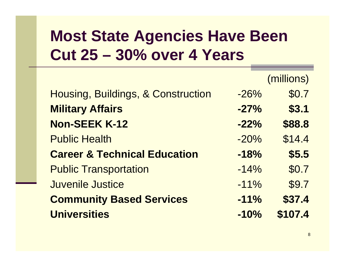#### **Most State Agencies Have Been C t 25 u 30% 4 Y 30% over Years**

|                                         |        | (millions) |
|-----------------------------------------|--------|------------|
| Housing, Buildings, & Construction      | $-26%$ | \$0.7      |
| <b>Military Affairs</b>                 | $-27%$ | \$3.1      |
| <b>Non-SEEK K-12</b>                    | $-22%$ | \$88.8     |
| <b>Public Health</b>                    | $-20%$ | \$14.4     |
| <b>Career &amp; Technical Education</b> | $-18%$ | \$5.5      |
| <b>Public Transportation</b>            | $-14%$ | \$0.7      |
| <b>Juvenile Justice</b>                 | $-11%$ | \$9.7      |
| <b>Community Based Services</b>         | $-11%$ | \$37.4     |
| <b>Universities</b>                     | $-10%$ | \$107.4    |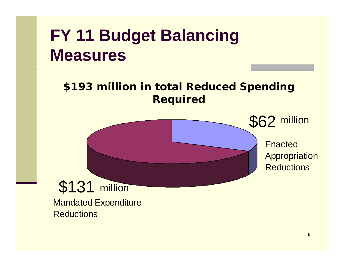### **FY 11 Budget Balancing Measures**

**\$193 illi i l R d d S di million n total e duced Spending Required**



Mandated Expenditure **Reductions**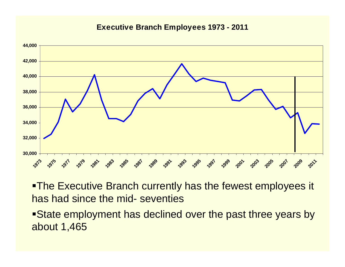#### **Executive Branch Employees 1973 - 2011**



 $\blacksquare$ The Executive Branch currently has the fewest employees it has had since the mid- seventies

State employment has declined over the past three years by about 1,465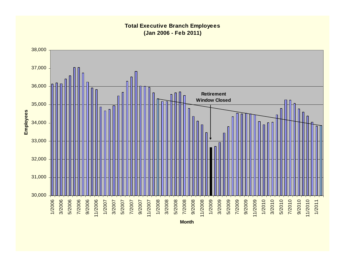#### **Total Executive Branch Employees (Jan 2006 - Feb 2011)**



**Month**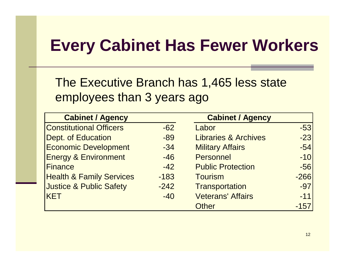### **Every Cabinet Has Fewer Workers**

The Executive Branch has 1,465 less state employees than 3 years ago

| <b>Cabinet / Agency</b>             |        | <b>Cabinet / Agency</b>         |        |
|-------------------------------------|--------|---------------------------------|--------|
| <b>Constitutional Officers</b>      | $-62$  | Labor                           | $-53$  |
| <b>Dept. of Education</b>           | $-89$  | <b>Libraries &amp; Archives</b> | $-23$  |
| <b>Economic Development</b>         | $-34$  | <b>Military Affairs</b>         | $-54$  |
| <b>Energy &amp; Environment</b>     | $-46$  | <b>Personnel</b>                | $-10$  |
| <b>Finance</b>                      | $-42$  | <b>Public Protection</b>        | $-56$  |
| <b>Health &amp; Family Services</b> | $-183$ | <b>Tourism</b>                  | $-266$ |
| <b>Justice &amp; Public Safety</b>  | $-242$ | Transportation                  | $-97$  |
| <b>KET</b>                          | $-40$  | <b>Veterans' Affairs</b>        | $-11$  |
|                                     |        | <b>Other</b>                    | $-157$ |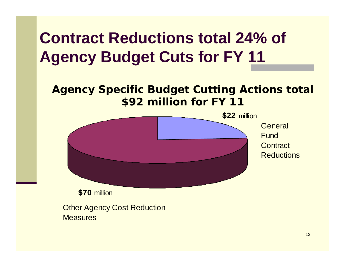### **Contract Reductions total 24% of Agency Budget Cuts for FY 11**

#### **Agency Specific Budget Cutting Actions total \$92 million for FY 11**

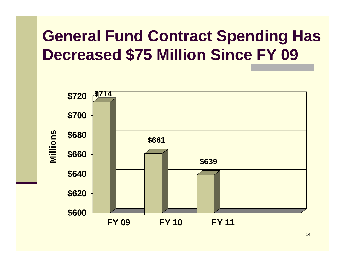### **General Fund Contract Spending Has D d \$75 Milli Si FY 09 Decrease Million Since**



14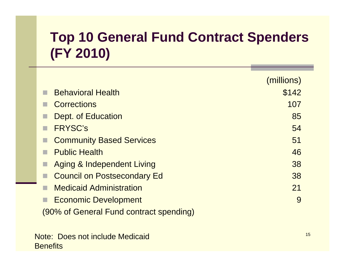### **Top 10 General Fund Contract Spenders (FY 2010)**

|                                         | (millions) |
|-----------------------------------------|------------|
| <b>Behavioral Health</b>                | \$142      |
| <b>Corrections</b>                      | 107        |
| Dept. of Education                      | 85         |
| <b>FRYSC's</b>                          | 54         |
| <b>Community Based Services</b>         | 51         |
| <b>Public Health</b>                    | 46         |
| <b>Aging &amp; Independent Living</b>   | 38         |
| <b>Council on Postsecondary Ed</b>      | 38         |
| <b>Medicaid Administration</b>          | 21         |
| <b>Economic Development</b>             | 9          |
| (90% of General Fund contract spending) |            |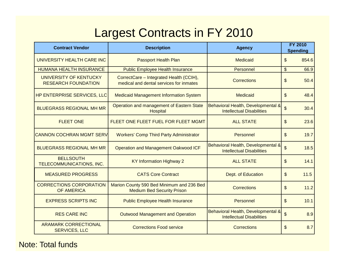### Largest Contracts in FY 2010

| <b>Contract Vendor</b>                               | <b>Description</b>                                                                 | <b>Agency</b>                                                          | <b>FY 2010</b><br><b>Spending</b> |  |
|------------------------------------------------------|------------------------------------------------------------------------------------|------------------------------------------------------------------------|-----------------------------------|--|
| UNIVERSITY HEALTH CARE INC                           | <b>Passport Health Plan</b>                                                        | <b>Medicaid</b>                                                        | 854.6<br>\$                       |  |
| <b>HUMANA HEALTH INSURANCE</b>                       | <b>Public Employee Health Insurance</b>                                            | Personnel                                                              | \$<br>66.9                        |  |
| UNIVERSITY OF KENTUCKY<br><b>RESEARCH FOUNDATION</b> | CorrectCare - Integrated Health (CCIH),<br>medical and dental services for inmates | <b>Corrections</b>                                                     | 50.4<br>\$                        |  |
| HP ENTERPRISE SERVICES, LLC                          | <b>Medicaid Management Information System</b>                                      | Medicaid                                                               | \$<br>48.4                        |  |
| <b>BLUEGRASS REGIONAL MH MR</b>                      | Operation and management of Eastern State<br><b>Hospital</b>                       | Behavioral Health, Developmental &<br><b>Intellectual Disabilities</b> | $\mathfrak{L}$<br>30.4            |  |
| <b>FLEET ONE</b>                                     | FLEET ONE FLEET FUEL FOR FLEET MGMT                                                | <b>ALL STATE</b>                                                       | $\mathfrak{S}$<br>23.6            |  |
| <b>CANNON COCHRAN MGMT SERV</b>                      | <b>Workers' Comp Third Party Administrator</b>                                     | Personnel                                                              | \$<br>19.7                        |  |
| <b>BLUEGRASS REGIONAL MH MR</b>                      | <b>Operation and Management Oakwood ICF</b>                                        | Behavioral Health, Developmental &<br><b>Intellectual Disabilities</b> | $\mathfrak{S}$<br>18.5            |  |
| <b>BELLSOUTH</b><br>TELECOMMUNICATIONS, INC.         | <b>KY Information Highway 2</b>                                                    | <b>ALL STATE</b>                                                       | $\mathfrak{S}$<br>14.1            |  |
| <b>MEASURED PROGRESS</b>                             | <b>CATS Core Contract</b>                                                          | Dept. of Education                                                     | \$<br>11.5                        |  |
| <b>CORRECTIONS CORPORATION</b><br><b>OF AMERICA</b>  | Marion County 590 Bed Minimum and 236 Bed<br><b>Medium Bed Security Prison</b>     | Corrections                                                            | 11.2<br>\$                        |  |
| <b>EXPRESS SCRIPTS INC</b>                           | <b>Public Employee Health Insurance</b>                                            | Personnel                                                              | \$<br>10.1                        |  |
| <b>RES CARE INC</b>                                  | <b>Outwood Management and Operation</b>                                            | Behavioral Health, Developmental &<br><b>Intellectual Disabilities</b> | \$<br>8.9                         |  |
| <b>ARAMARK CORRECTIONAL</b><br><b>SERVICES, LLC</b>  | <b>Corrections Food service</b>                                                    | Corrections                                                            | \$<br>8.7                         |  |

Note: Total funds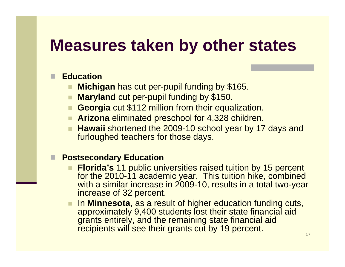#### ▉ **Education**

- **Michigan** has cut per-pupil funding by \$165.
- **Maryland** cut per-pupil funding by \$150.
- **Georgia** cut \$112 million from their equalization.
- Arizona eliminated preschool for 4,328 children.
- Hawaii shortened the 2009-10 school year by 17 days and furloughed teachers for those days.

#### ▉ **Postsecondary Education**

- **Florida's** 11 public universities raised tuition by 15 percent for the 2010-11 academic year. This tuition hike, combined with a similar increase in 2009-10, results in a total two-year increase of 32 percent.
- In **Minnesota,** as a result of higher education funding cuts, approximately 9,400 students lost their state financial aid grants entirely, and the remaining state financial aid recipients will see their grants cut by 19 percent.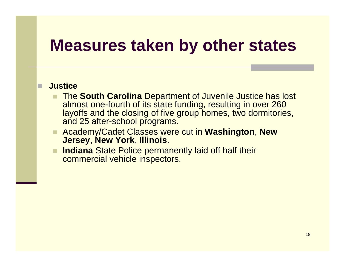#### *<u><b>Justice</u>*</u>

П

- The **South Carolina** Department of Juvenile Justice has lost almost one-fourth of its state funding, resulting in over 260 layoffs and the closing of five group homes, two dormitories, and 25 afte r-school programs.
- Academy/Cadet Classes were cut in **Washington**, **New Jersey**, **New York**, **Illinois**.
- **Indiana** State Police permanently laid off half their commercial vehicle inspectors.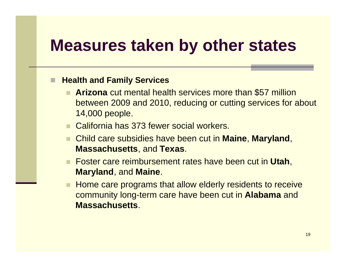#### П **Hea t <sup>a</sup> d <sup>a</sup> y Se ces lth n d F amil Services**

- **Arizona** cut mental health services more than \$57 million between 2009 and 2010, reducing or cutting services for about 14,000 people.
- California has 373 fewer social workers.
- Child care subsidies have been cut in **Maine**, **Maryland**, **Massachusetts**, and **Texas**.
- Foster care reimbursement rates have been cut in **Utah**, **Maryland**, and **Maine**.
- Home care programs that allow elderly residents to receive community long-term care have been cut in **Alabama** and **Massachusetts**.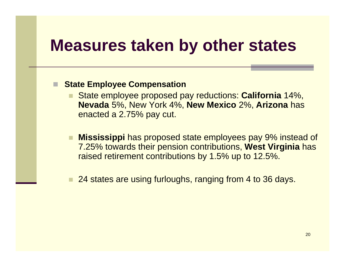#### П **State Employee Compensation**

- State employee proposed pay reductions: **California** 14%, **Nevada** 5%, New York 4%, **New Mexico** 2%, **Arizona** has enacted <sup>a</sup> 2.75% pay cut.
- **Mississippi** has proposed state employees pay 9% instead of 7.25% towards their pension contributions, **West Virginia** has raised retirement contributions by 1.5% up to 12.5%.
- 24 states are using furloughs, ranging from 4 to 36 days.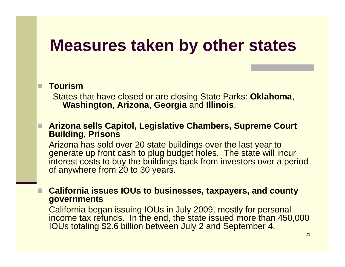#### **T i our sm**

П

П

States that have closed or are closing State Parks: **Oklahoma**, **Washington**, **Arizona**, **Georgia** and **Illinois**.

#### **Arizona sells Capitol, Legislative Chambers, Supreme Court Building, Prisons**

Arizona has sold over 20 state buildings over the last year to generate up front cash to plug budget holes. The state will incur interest costs to buy the buildings back from investors over a period of anywhere from 20 to 30 years.

 **California issues IOUs to businesses, taxpayers, and county governments**

California began issuing IOUs in July 2009, mostly for personal income tax refunds. In the end, the state issued more than 450,000 income tax refunds. In the end, the state issued more than 450,000<br>IOUs totaling \$2.6 billion between July 2 and September 4.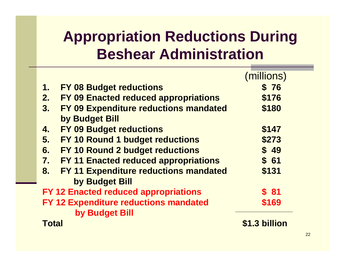### **Appropriation Reductions During Beshear Administration**

|                                       |                                              | (millions)       |
|---------------------------------------|----------------------------------------------|------------------|
| 1.                                    | <b>FY 08 Budget reductions</b>               | \$76             |
| 2.                                    | <b>FY 09 Enacted reduced appropriations</b>  | \$176            |
| 3.                                    | FY 09 Expenditure reductions mandated        | \$180            |
|                                       | by Budget Bill                               |                  |
| 4.                                    | <b>FY 09 Budget reductions</b>               | \$147            |
| 5.                                    | <b>FY 10 Round 1 budget reductions</b>       | \$273            |
| 6.                                    | <b>FY 10 Round 2 budget reductions</b>       | \$49             |
| 7.                                    | <b>FY 11 Enacted reduced appropriations</b>  | \$61             |
| 8.                                    | <b>FY 11 Expenditure reductions mandated</b> | \$131            |
|                                       | by Budget Bill                               |                  |
|                                       | <b>FY 12 Enacted reduced appropriations</b>  | $\frac{1}{2}$ 81 |
| FY 12 Expenditure reductions mandated |                                              | \$169            |
|                                       | by Budget Bill                               |                  |
| Total                                 |                                              | \$1.3 billion    |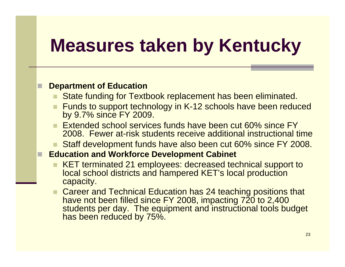#### **D t t f Ed ti Depar tmen t o Education**

- State funding for Textbook replacement has been eliminated.
- Funds to support technology in K-12 schools have been reduced by 9.7% since FY 2009.
- **Extended school services funds have been cut 60% since FY** 2008. Fewer at-risk students receive additional instructional time
- Staff development funds have also been cut 60% since FY 2008.

#### **Education and Workforce Development Cabinet**

- KET terminated 21 employees: decreased technical support to local school districts and hampered KET's local production capacity.
- **Career and Technical Education has 24 teaching positions that** have not been filled since FY 2008, impacting 720 to 2,400 students per day. The equipment and instructional tools budget has been reduced by 75% 75%.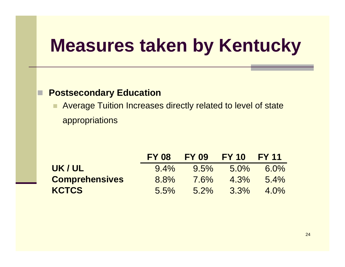#### $\Box$ **Postsecondary Education**

٠ Average Tuition Increases directly related to level of state appropriations

|                       | <b>FY 08</b> | <b>FY 09</b> | <b>FY 10</b> | <b>FY 11</b> |
|-----------------------|--------------|--------------|--------------|--------------|
| UK/UL                 | $9.4\%$      | $9.5\%$      | $5.0\%$      | $6.0\%$      |
| <b>Comprehensives</b> | 8.8%         | $7.6\%$      | $4.3\%$      | $5.4\%$      |
| <b>KCTCS</b>          | $5.5\%$      | $5.2\%$      | $3.3\%$      | $4.0\%$      |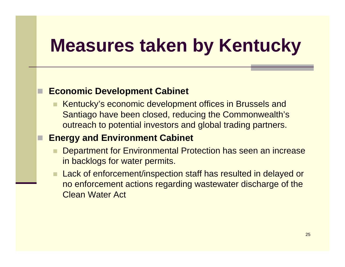#### **Economic Development Cabinet**

 Kentucky's economic development offices in Brussels and Santiago have been closed, reducing the Commonwealth's outreach to potential investors and global trading partners.

#### **Energy and Environment Cabinet**

- Department for Environmental Protection has seen an increase in backlogs for water permits.
- $\blacksquare$  Lack of enforcement/inspection staff has resulted in delayed or no enforcement actions regarding wastewater discharge of the Clean Water Act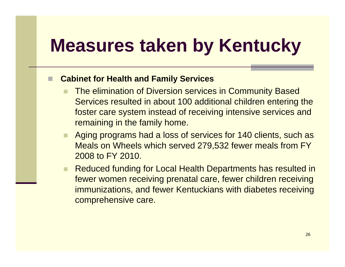#### **■ Cabinet for Health and Family Services**

- The elimination of Diversion services in Community Based Services resulted in about 100 additional children entering the foster care system instead of receiving intensive services and remaining in the family home.
- Aging programs had a loss of services for 140 clients, such as Meals on Wheels which served 279,532 fewer meals from FY 2008 to FY 2010.
- $\blacksquare$  Reduced funding for Local Health Departments has resulted in fewer women receiving prenatal care, fewer children receiving immunizations, and fewer Kentuckians with diabetes receiving comprehensive care.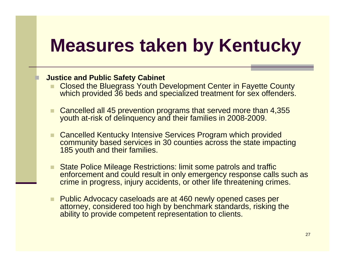#### **Justice and Public Safety Cabinet**

- Closed the Bluegrass Youth Development Center in Fayette County which provided 36 beds and specialized treatment for sex offenders.
- Cancelled all 45 prevention programs that served more than 4,355 youth at-risk of delinquency and their families in 2008-2009.
- Cancelled Kentucky Intensive Services Program which provided community based services in 30 counties across the state impacting 185 youth and their families.
- State Police Mileage Restrictions: limit some patrols and traffic enforcement and could result in only emergency response calls such as crime in progress, injury accidents, or other life threatening crimes.
- **Public Advocacy caseloads are at 460 newly opened cases per** attorney, considered too high by benchmark standards, risking the ability to provide competent representation to clients.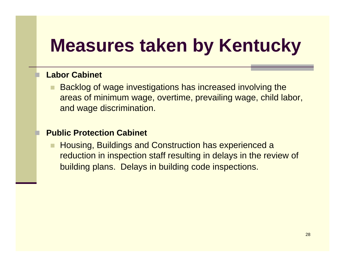#### **Labor Cabinet**

П

 Backlog of wage investigations has increased involving the areas of minimum wage, overtime, prevailing wage, child labor, and wage discrimination.

#### **Public Protection Cabinet**

 Housing, Buildings and Construction has experienced a reduction in inspection staff resulting in delays in the review of building plans. Delays in building code inspections.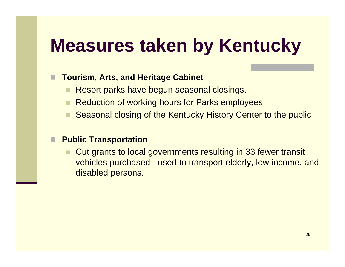#### П **Tourism, Arts, and Heritage Cabinet**

- Resort parks have begun seasonal closings.
- Reduction of working hours for Parks employees
- Seasonal closing of the Kentucky History Center to the public

#### П **Public Transportation**

**Cut grants to local governments resulting in 33 fewer transit** vehicles purchased - used to transport elderly, low income, and disabled persons.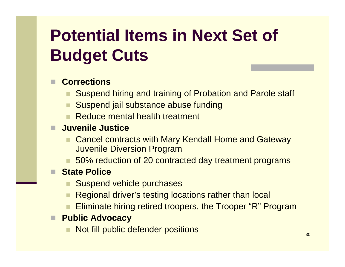## **Potential Items in Next Set of Budget Cuts**

#### **Corrections**

- Suspend hiring and training of Probation and Parole staff
- Suspend jail substance abuse funding
- **Reduce mental health treatment**

#### **Juvenile Justice**

- п Cancel contracts with Mary Kendall Home and Gateway Juvenile Diversion Program
- 50% reduction of 20 contracted day treatment programs

#### ■ State Police

- Suspend vehicle purchases
- Regional driver's testing locations rather than local
- Eliminate hiring retired troopers, the Trooper "R" Program

#### **Public Advocacy**

Not fill public defender positions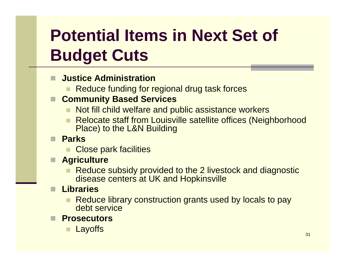## **Potential Items in Next Set of Budget Cuts**

- П **Justice Administration**
	- **Reduce funding for regional drug task forces**
- **Community Based Services**
	- Not fill child welfare and public assistance workers
	- Relocate staff from Louisville satellite offices (Neighborhood Place) to the L&N Building
- **Parks**
	- **Close park facilities**
- **Agriculture**
	- **Reduce subsidy provided to the 2 livestock and diagnostic** disease centers at UK and Hopkinsville
- **Libraries**
	- **Reduce library construction grants used by locals to pay** debt service
- **Prosecutors**
	- **Layoffs**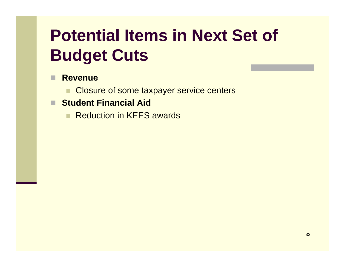## **Potential Items in Next Set of Budget Cuts**

#### П **Revenue**

- **Closure of some taxpayer service centers**
- **Student Financial Aid**
	- ٠ **Reduction in KEES awards**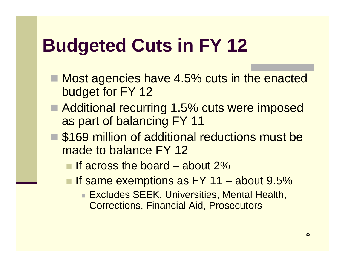## **Budgeted Cuts in FY 12**

- Most agencies have 4.5% cuts in the enacted budget for FY 12
- Additional recurring 1.5% cuts were imposed as part of balancing FY 11
- \$169 million of additional reductions must be made to balance FY 12
	- **If across the board about 2%**
	- $\blacksquare$  If same exemptions as FY 11 – about 9.5%
		- Excludes SEEK, Universities, Mental Health, Corrections, Financial Aid, Prosecutors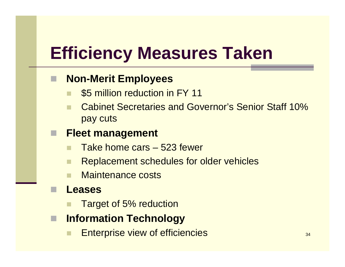## **Efficiency Measures Taken**

#### ■ Non-Merit Employees

- \$5 million reduction in FY 11
- Cabinet Secretaries and Governor's Senior Staff 10% pay cuts

#### **Fleet management**

- Take home cars 523 fewer
- Replacement schedules for older vehicles
- Maintenance costs

#### **Leases**

- Target of 5% reduction
- П **Information Technology**
	- Enterprise view of efficiencies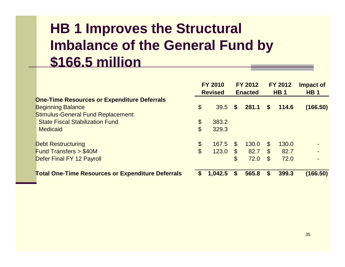### **HB 1 Improves the Structural Imbalance of the General Fund by \$166.5 million**

|                                                          | <b>FY 2010</b><br><b>FY 2012</b><br><b>Revised</b><br><b>Enacted</b> |         | <b>FY 2012</b><br><b>HB1</b> |       | <b>Impact of</b><br><b>HB1</b> |       |          |
|----------------------------------------------------------|----------------------------------------------------------------------|---------|------------------------------|-------|--------------------------------|-------|----------|
| <b>One-Time Resources or Expenditure Deferrals</b>       |                                                                      |         |                              |       |                                |       |          |
| <b>Beginning Balance</b>                                 | $\boldsymbol{\theta}$                                                | 39.5    | $\mathbf{s}$                 | 281.1 | $\mathbf{s}$                   | 114.6 | (166.50) |
| <b>Stimulus-General Fund Replacement:</b>                |                                                                      |         |                              |       |                                |       |          |
| <b>State Fiscal Stabilization Fund</b>                   | $\boldsymbol{\theta}$                                                | 383.2   |                              |       |                                |       |          |
| <b>Medicaid</b>                                          | $\boldsymbol{\mathsf{S}}$                                            | 329.3   |                              |       |                                |       |          |
|                                                          |                                                                      |         |                              |       |                                |       |          |
| <b>Debt Restructuring</b>                                | $\boldsymbol{\theta}$                                                | 167.5   | $\mathfrak{L}$               | 130.0 | $\mathcal{F}$                  | 130.0 |          |
| <b>Fund Transfers &gt; \$40M</b>                         | $\boldsymbol{\mathsf{S}}$                                            | 123.0   | $\mathfrak{S}$               | 82.7  | $\mathcal{S}$                  | 82.7  |          |
| Defer Final FY 12 Payroll                                |                                                                      |         | $\mathfrak{F}$               | 72.0  | $\mathcal{E}$                  | 72.0  |          |
|                                                          |                                                                      |         |                              |       |                                |       |          |
| <b>Total One-Time Resources or Expenditure Deferrals</b> |                                                                      | 1,042.5 |                              | 565.8 |                                | 399.3 | (166.50) |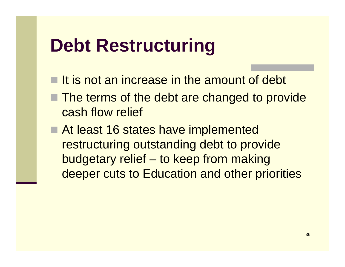### **Debt Restructuring**

- $\blacksquare$  It is not an increase in the amount of debt
- **The terms of the debt are changed to provide** cash flow relief
- At least 16 states have implemented restructuring outstanding debt to provide budgetary relief – to keep from making deeper cuts to Education and other priorities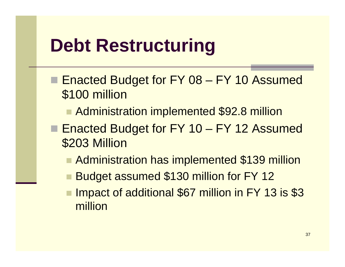### **Debt Restructuring**

- Enacted Budget for FY 08 – FY 10 Assumed \$100 million
	- Administration implemented \$92.8 million
- Enacted Budget for FY 10 FY 12 Assumed \$203 Million
	- **Administration has implemented \$139 million**
	- **Budget assumed \$130 million for FY 12**
	- Impact of additional \$67 million in FY 13 is \$3 million